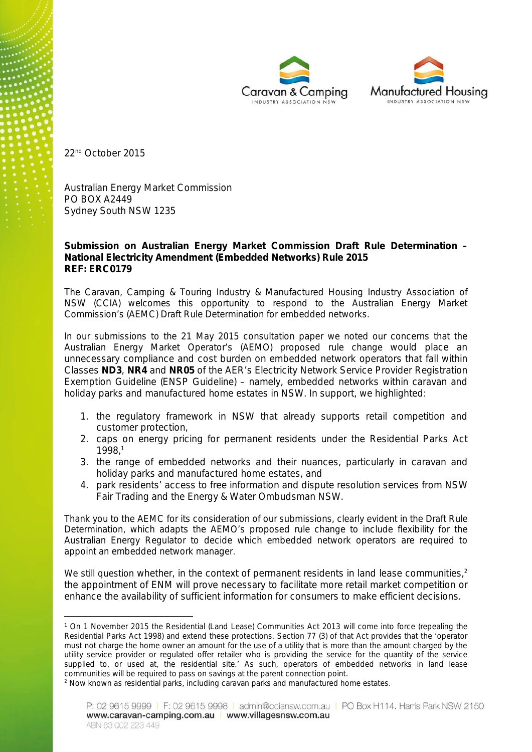



22nd October 2015

Australian Energy Market Commission PO BOX A2449 Sydney South NSW 1235

**Submission on Australian Energy Market Commission Draft Rule Determination – National Electricity Amendment (Embedded Networks) Rule 2015 REF: ERC0179**

The Caravan, Camping & Touring Industry & Manufactured Housing Industry Association of NSW (CCIA) welcomes this opportunity to respond to the Australian Energy Market Commission's (AEMC) Draft Rule Determination for embedded networks.

In our submissions to the 21 May 2015 consultation paper we noted our concerns that the Australian Energy Market Operator's (AEMO) proposed rule change would place an unnecessary compliance and cost burden on embedded network operators that fall within Classes **ND3**, **NR4** and **NR05** of the AER's Electricity Network Service Provider Registration Exemption Guideline (ENSP Guideline) – namely, embedded networks within caravan and holiday parks and manufactured home estates in NSW. In support, we highlighted:

- 1. the regulatory framework in NSW that already supports retail competition and customer protection,
- 2. caps on energy pricing for permanent residents under the Residential Parks Act 1998,<sup>1</sup>
- 3. the range of embedded networks and their nuances, particularly in caravan and holiday parks and manufactured home estates, and
- 4. park residents' access to free information and dispute resolution services from NSW Fair Trading and the Energy & Water Ombudsman NSW.

Thank you to the AEMC for its consideration of our submissions, clearly evident in the Draft Rule Determination, which adapts the AEMO's proposed rule change to include flexibility for the Australian Energy Regulator to decide which embedded network operators are required to appoint an embedded network manager.

We still question whether, in the context of permanent residents in land lease communities,<sup>2</sup> the appointment of ENM will prove necessary to facilitate more retail market competition or enhance the availability of sufficient information for consumers to make efficient decisions.

*<sup>1</sup> On 1 November 2015 the Residential (Land Lease) Communities Act 2013 will come into force (repealing the Residential Parks Act 1998) and extend these protections. Section 77 (3) of that Act provides that the 'operator must not charge the home owner an amount for the use of a utility that is more than the amount charged by the utility service provider or regulated offer retailer who is providing the service for the quantity of the service supplied to, or used at, the residential site.' As such, operators of embedded networks in land lease communities will be required to pass on savings at the parent connection point.*

*<sup>2</sup> Now known as residential parks, including caravan parks and manufactured home estates.*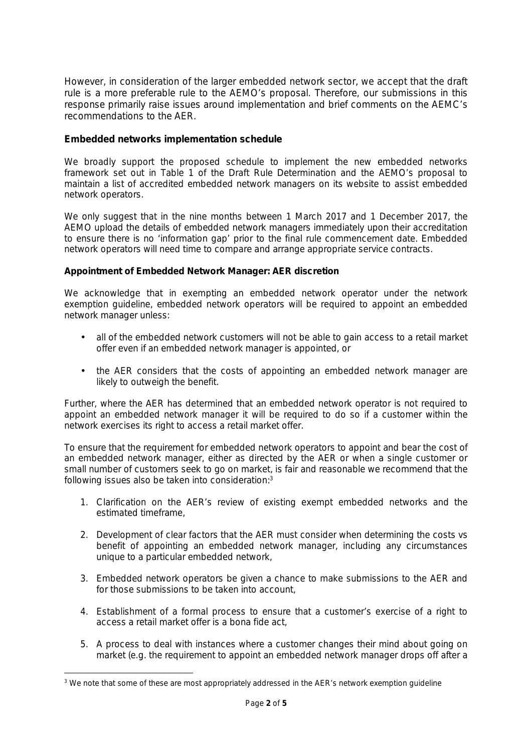However, in consideration of the larger embedded network sector, we accept that the draft rule is a more preferable rule to the AEMO's proposal. Therefore, our submissions in this response primarily raise issues around implementation and brief comments on the AEMC's recommendations to the AER.

## **Embedded networks implementation schedule**

We broadly support the proposed schedule to implement the new embedded networks framework set out in Table 1 of the Draft Rule Determination and the AEMO's proposal to maintain a list of accredited embedded network managers on its website to assist embedded network operators.

We only suggest that in the nine months between 1 March 2017 and 1 December 2017, the AEMO upload the details of embedded network managers immediately upon their accreditation to ensure there is no 'information gap' prior to the final rule commencement date. Embedded network operators will need time to compare and arrange appropriate service contracts.

**Appointment of Embedded Network Manager: AER discretion**

We acknowledge that in exempting an embedded network operator under the network exemption guideline, embedded network operators will be required to appoint an embedded network manager unless:

- all of the embedded network customers will not be able to gain access to a retail market offer even if an embedded network manager is appointed, or
- the AER considers that the costs of appointing an embedded network manager are likely to outweigh the benefit.

Further, where the AER has determined that an embedded network operator is not required to appoint an embedded network manager it will be required to do so if a customer within the network exercises its right to access a retail market offer.

To ensure that the requirement for embedded network operators to appoint and bear the cost of an embedded network manager, either as directed by the AER or when a single customer or small number of customers seek to go on market, is fair and reasonable we recommend that the following issues also be taken into consideration:<sup>3</sup>

- 1. Clarification on the AER's review of existing exempt embedded networks and the estimated timeframe,
- 2. Development of clear factors that the AER must consider when determining the costs vs benefit of appointing an embedded network manager, including any circumstances unique to a particular embedded network,
- 3. Embedded network operators be given a chance to make submissions to the AER and for those submissions to be taken into account,
- 4. Establishment of a formal process to ensure that a customer's exercise of a right to access a retail market offer is a bona fide act,
- 5. A process to deal with instances where a customer changes their mind about going on market (e.g. the requirement to appoint an embedded network manager drops off after a

*<sup>3</sup> We note that some of these are most appropriately addressed in the AER's network exemption guideline*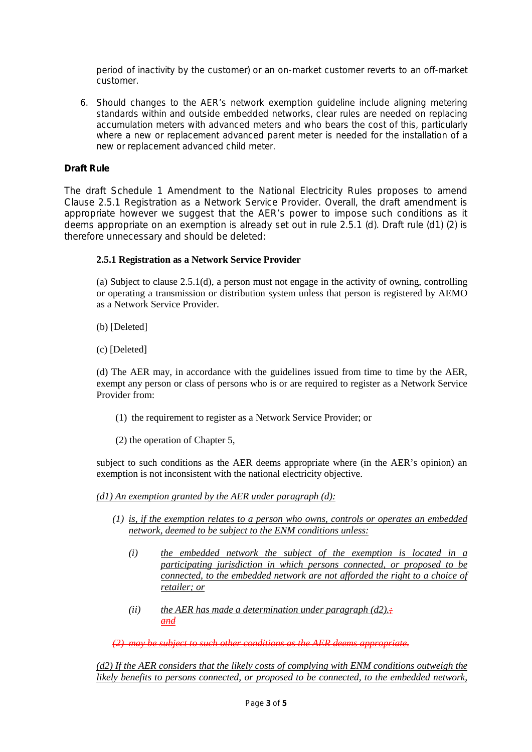period of inactivity by the customer) or an on-market customer reverts to an off-market customer.

6. Should changes to the AER's network exemption guideline include aligning metering standards within and outside embedded networks, clear rules are needed on replacing accumulation meters with advanced meters and who bears the cost of this, particularly where a new or replacement advanced parent meter is needed for the installation of a new or replacement advanced child meter.

## **Draft Rule**

The draft Schedule 1 Amendment to the National Electricity Rules proposes to amend Clause 2.5.1 Registration as a Network Service Provider. Overall, the draft amendment is appropriate however we suggest that the AER's power to impose such conditions as it deems appropriate on an exemption is already set out in rule 2.5.1 (d). Draft rule (d1) (2) is therefore unnecessary and should be deleted:

## **2.5.1 Registration as a Network Service Provider**

(a) Subject to clause 2.5.1(d), a person must not engage in the activity of owning, controlling or operating a transmission or distribution system unless that person is registered by AEMO as a Network Service Provider.

(b) [Deleted]

(c) [Deleted]

(d) The AER may, in accordance with the guidelines issued from time to time by the AER, exempt any person or class of persons who is or are required to register as a Network Service Provider from:

(1) the requirement to register as a Network Service Provider; or

(2) the operation of Chapter 5,

subject to such conditions as the AER deems appropriate where (in the AER's opinion) an exemption is not inconsistent with the national electricity objective.

*(d1) An exemption granted by the AER under paragraph (d):*

- *(1) is, if the exemption relates to a person who owns, controls or operates an embedded network, deemed to be subject to the ENM conditions unless:*
	- *(i) the embedded network the subject of the exemption is located in a participating jurisdiction in which persons connected, or proposed to be connected, to the embedded network are not afforded the right to a choice of retailer; or*
	- *(ii) the AER has made a determination under paragraph (d2).; and*

*(2) may be subject to such other conditions as the AER deems appropriate.*

*(d2) If the AER considers that the likely costs of complying with ENM conditions outweigh the likely benefits to persons connected, or proposed to be connected, to the embedded network,*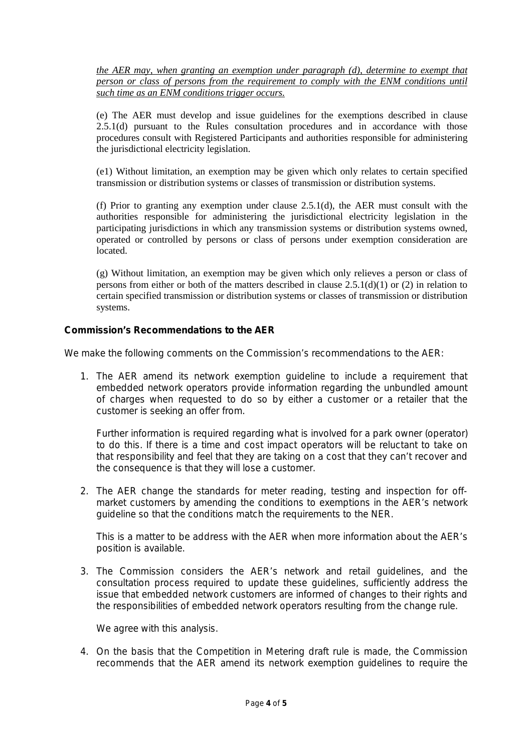*the AER may, when granting an exemption under paragraph (d), determine to exempt that person or class of persons from the requirement to comply with the ENM conditions until such time as an ENM conditions trigger occurs.*

(e) The AER must develop and issue guidelines for the exemptions described in clause 2.5.1(d) pursuant to the Rules consultation procedures and in accordance with those procedures consult with Registered Participants and authorities responsible for administering the jurisdictional electricity legislation.

(e1) Without limitation, an exemption may be given which only relates to certain specified transmission or distribution systems or classes of transmission or distribution systems.

(f) Prior to granting any exemption under clause 2.5.1(d), the AER must consult with the authorities responsible for administering the jurisdictional electricity legislation in the participating jurisdictions in which any transmission systems or distribution systems owned, operated or controlled by persons or class of persons under exemption consideration are located.

(g) Without limitation, an exemption may be given which only relieves a person or class of persons from either or both of the matters described in clause 2.5.1(d)(1) or (2) in relation to certain specified transmission or distribution systems or classes of transmission or distribution systems.

**Commission's Recommendations to the AER**

We make the following comments on the Commission's recommendations to the AER:

1. *The AER amend its network exemption guideline to include a requirement that embedded network operators provide information regarding the unbundled amount of charges when requested to do so by either a customer or a retailer that the customer is seeking an offer from.*

Further information is required regarding what is involved for a park owner (operator) to do this. If there is a time and cost impact operators will be reluctant to take on that responsibility and feel that they are taking on a cost that they can't recover and the consequence is that they will lose a customer.

2. *The AER change the standards for meter reading, testing and inspection for off market customers by amending the conditions to exemptions in the AER's network guideline so that the conditions match the requirements to the NER.*

This is a matter to be address with the AER when more information about the AER's position is available.

3. *The Commission considers the AER's network and retail guidelines, and the consultation process required to update these guidelines, sufficiently address the issue that embedded network customers are informed of changes to their rights and the responsibilities of embedded network operators resulting from the change rule.*

We agree with this analysis.

4. *On the basis that the Competition in Metering draft rule is made, the Commission recommends that the AER amend its network exemption guidelines to require the*